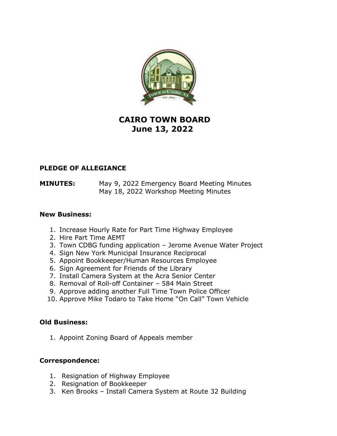

# **CAIRO TOWN BOARD June 13, 2022**

### **PLEDGE OF ALLEGIANCE**

**MINUTES:** May 9, 2022 Emergency Board Meeting Minutes May 18, 2022 Workshop Meeting Minutes

#### **New Business:**

- 1. Increase Hourly Rate for Part Time Highway Employee
- 2. Hire Part Time AEMT
- 3. Town CDBG funding application Jerome Avenue Water Project
- 4. Sign New York Municipal Insurance Reciprocal
- 5. Appoint Bookkeeper/Human Resources Employee
- 6. Sign Agreement for Friends of the Library
- 7. Install Camera System at the Acra Senior Center
- 8. Removal of Roll-off Container 584 Main Street
- 9. Approve adding another Full Time Town Police Officer
- 10. Approve Mike Todaro to Take Home "On Call" Town Vehicle

#### **Old Business:**

1. Appoint Zoning Board of Appeals member

#### **Correspondence:**

- 1. Resignation of Highway Employee
- 2. Resignation of Bookkeeper
- 3. Ken Brooks Install Camera System at Route 32 Building